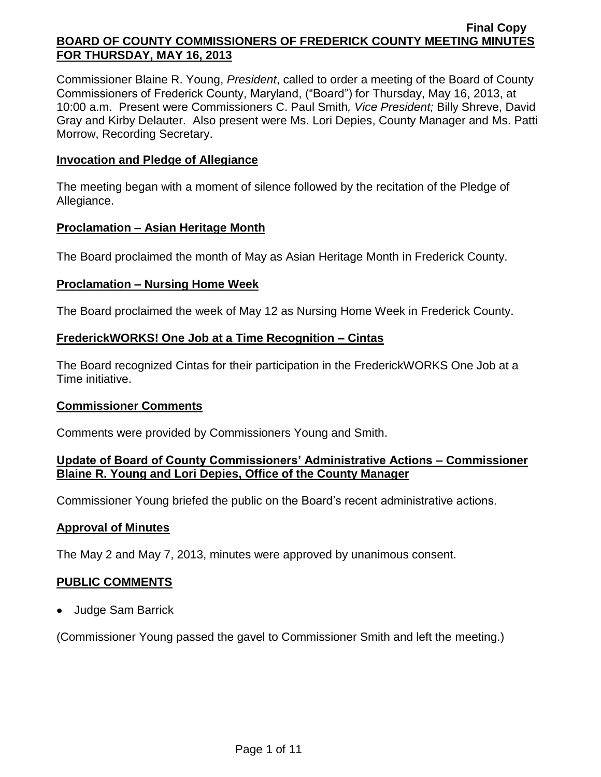Commissioner Blaine R. Young, *President*, called to order a meeting of the Board of County Commissioners of Frederick County, Maryland, ("Board") for Thursday, May 16, 2013, at 10:00 a.m. Present were Commissioners C. Paul Smith*, Vice President;* Billy Shreve, David Gray and Kirby Delauter. Also present were Ms. Lori Depies, County Manager and Ms. Patti Morrow, Recording Secretary.

#### **Invocation and Pledge of Allegiance**

The meeting began with a moment of silence followed by the recitation of the Pledge of Allegiance.

#### **Proclamation – Asian Heritage Month**

The Board proclaimed the month of May as Asian Heritage Month in Frederick County.

#### **Proclamation – Nursing Home Week**

The Board proclaimed the week of May 12 as Nursing Home Week in Frederick County.

# **FrederickWORKS! One Job at a Time Recognition – Cintas**

The Board recognized Cintas for their participation in the FrederickWORKS One Job at a Time initiative.

# **Commissioner Comments**

Comments were provided by Commissioners Young and Smith.

# **Update of Board of County Commissioners' Administrative Actions – Commissioner Blaine R. Young and Lori Depies, Office of the County Manager**

Commissioner Young briefed the public on the Board's recent administrative actions.

# **Approval of Minutes**

The May 2 and May 7, 2013, minutes were approved by unanimous consent.

# **PUBLIC COMMENTS**

• Judge Sam Barrick

(Commissioner Young passed the gavel to Commissioner Smith and left the meeting.)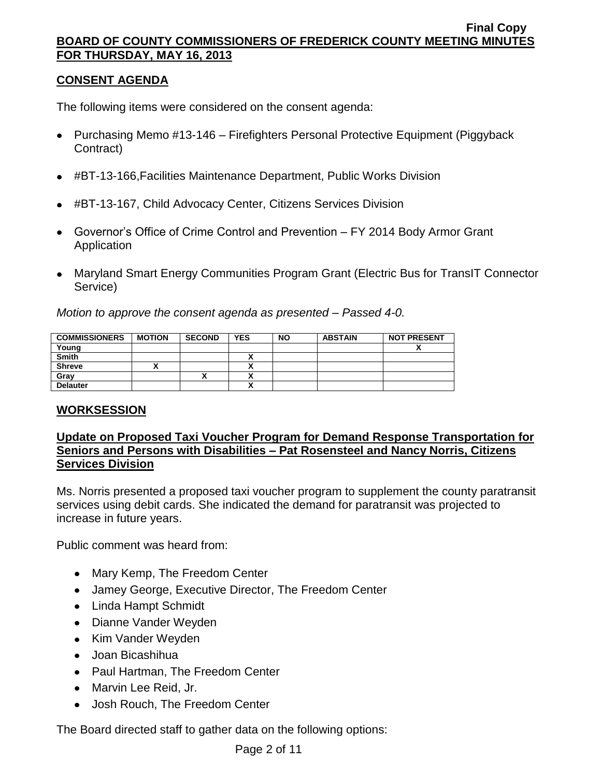# **CONSENT AGENDA**

The following items were considered on the consent agenda:

- Purchasing Memo #13-146 Firefighters Personal Protective Equipment (Piggyback Contract)
- #BT-13-166,Facilities Maintenance Department, Public Works Division
- #BT-13-167, Child Advocacy Center, Citizens Services Division
- Governor's Office of Crime Control and Prevention FY 2014 Body Armor Grant Application
- Maryland Smart Energy Communities Program Grant (Electric Bus for TransIT Connector Service)

*Motion to approve the consent agenda as presented – Passed 4-0.*

| <b>COMMISSIONERS</b> | <b>MOTION</b> | <b>SECOND</b> | <b>YES</b> | <b>NO</b> | <b>ABSTAIN</b> | <b>NOT PRESENT</b> |
|----------------------|---------------|---------------|------------|-----------|----------------|--------------------|
| Young                |               |               |            |           |                |                    |
| <b>Smith</b>         |               |               |            |           |                |                    |
| <b>Shreve</b>        |               |               |            |           |                |                    |
| Grav                 |               |               |            |           |                |                    |
| <b>Delauter</b>      |               |               | ↗          |           |                |                    |

# **WORKSESSION**

# **Update on Proposed Taxi Voucher Program for Demand Response Transportation for Seniors and Persons with Disabilities – Pat Rosensteel and Nancy Norris, Citizens Services Division**

Ms. Norris presented a proposed taxi voucher program to supplement the county paratransit services using debit cards. She indicated the demand for paratransit was projected to increase in future years.

Public comment was heard from:

- Mary Kemp, The Freedom Center
- Jamey George, Executive Director, The Freedom Center
- Linda Hampt Schmidt
- Dianne Vander Weyden
- Kim Vander Weyden
- Joan Bicashihua
- Paul Hartman, The Freedom Center
- Marvin Lee Reid, Jr.
- Josh Rouch, The Freedom Center

The Board directed staff to gather data on the following options: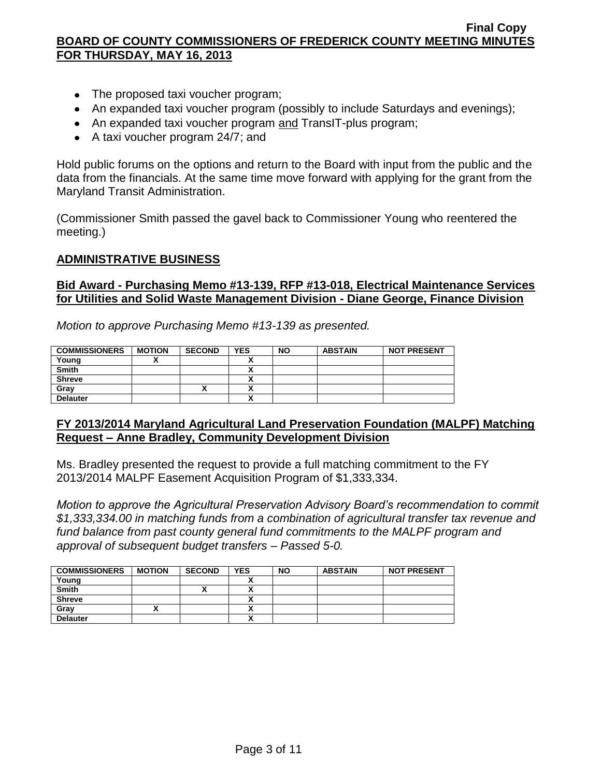- The proposed taxi voucher program;
- An expanded taxi voucher program (possibly to include Saturdays and evenings);
- An expanded taxi voucher program and TransIT-plus program;
- A taxi voucher program 24/7; and

Hold public forums on the options and return to the Board with input from the public and the data from the financials. At the same time move forward with applying for the grant from the Maryland Transit Administration.

(Commissioner Smith passed the gavel back to Commissioner Young who reentered the meeting.)

#### **ADMINISTRATIVE BUSINESS**

#### **Bid Award - Purchasing Memo #13-139, RFP #13-018, Electrical Maintenance Services for Utilities and Solid Waste Management Division - Diane George, Finance Division**

*Motion to approve Purchasing Memo #13-139 as presented.*

| <b>COMMISSIONERS</b> | <b>MOTION</b> | <b>SECOND</b>            | <b>YES</b> | <b>NO</b> | <b>ABSTAIN</b> | <b>NOT PRESENT</b> |
|----------------------|---------------|--------------------------|------------|-----------|----------------|--------------------|
| Young                |               |                          |            |           |                |                    |
| <b>Smith</b>         |               |                          | ,,         |           |                |                    |
| <b>Shreve</b>        |               |                          |            |           |                |                    |
| Grav                 |               | $\overline{\phantom{a}}$ |            |           |                |                    |
| <b>Delauter</b>      |               |                          | ,,,        |           |                |                    |

# **FY 2013/2014 Maryland Agricultural Land Preservation Foundation (MALPF) Matching Request – Anne Bradley, Community Development Division**

Ms. Bradley presented the request to provide a full matching commitment to the FY 2013/2014 MALPF Easement Acquisition Program of \$1,333,334.

*Motion to approve the Agricultural Preservation Advisory Board's recommendation to commit \$1,333,334.00 in matching funds from a combination of agricultural transfer tax revenue and fund balance from past county general fund commitments to the MALPF program and approval of subsequent budget transfers – Passed 5-0.*

| <b>COMMISSIONERS</b> | <b>MOTION</b> | <b>SECOND</b> | <b>YES</b> | <b>NO</b> | <b>ABSTAIN</b> | <b>NOT PRESENT</b> |
|----------------------|---------------|---------------|------------|-----------|----------------|--------------------|
| Young                |               |               |            |           |                |                    |
| <b>Smith</b>         |               | "             |            |           |                |                    |
| <b>Shreve</b>        |               |               |            |           |                |                    |
| Gray                 |               |               |            |           |                |                    |
| <b>Delauter</b>      |               |               |            |           |                |                    |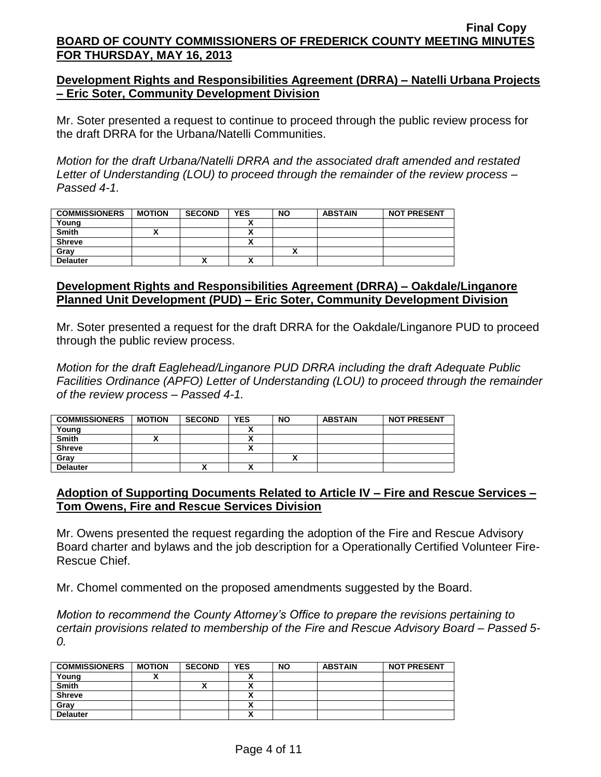# **Development Rights and Responsibilities Agreement (DRRA) – Natelli Urbana Projects – Eric Soter, Community Development Division**

Mr. Soter presented a request to continue to proceed through the public review process for the draft DRRA for the Urbana/Natelli Communities.

*Motion for the draft Urbana/Natelli DRRA and the associated draft amended and restated Letter of Understanding (LOU) to proceed through the remainder of the review process – Passed 4-1.*

| <b>COMMISSIONERS</b> | <b>MOTION</b> | <b>SECOND</b> | <b>YES</b>   | <b>NO</b> | <b>ABSTAIN</b> | <b>NOT PRESENT</b> |
|----------------------|---------------|---------------|--------------|-----------|----------------|--------------------|
| Young                |               |               |              |           |                |                    |
| <b>Smith</b>         |               |               |              |           |                |                    |
| <b>Shreve</b>        |               |               |              |           |                |                    |
| Gray                 |               |               |              |           |                |                    |
| <b>Delauter</b>      |               | "             | $\mathbf{v}$ |           |                |                    |

# **Development Rights and Responsibilities Agreement (DRRA) – Oakdale/Linganore Planned Unit Development (PUD) – Eric Soter, Community Development Division**

Mr. Soter presented a request for the draft DRRA for the Oakdale/Linganore PUD to proceed through the public review process.

*Motion for the draft Eaglehead/Linganore PUD DRRA including the draft Adequate Public Facilities Ordinance (APFO) Letter of Understanding (LOU) to proceed through the remainder of the review process – Passed 4-1.*

| <b>COMMISSIONERS</b> | <b>MOTION</b> | <b>SECOND</b> | <b>YES</b>   | <b>NO</b> | <b>ABSTAIN</b> | <b>NOT PRESENT</b> |
|----------------------|---------------|---------------|--------------|-----------|----------------|--------------------|
| Young                |               |               |              |           |                |                    |
| <b>Smith</b>         |               |               |              |           |                |                    |
| <b>Shreve</b>        |               |               |              |           |                |                    |
| Grav                 |               |               |              |           |                |                    |
| <b>Delauter</b>      |               | "             | $\mathbf{r}$ |           |                |                    |

# **Adoption of Supporting Documents Related to Article IV – Fire and Rescue Services – Tom Owens, Fire and Rescue Services Division**

Mr. Owens presented the request regarding the adoption of the Fire and Rescue Advisory Board charter and bylaws and the job description for a Operationally Certified Volunteer Fire-Rescue Chief.

Mr. Chomel commented on the proposed amendments suggested by the Board.

*Motion to recommend the County Attorney's Office to prepare the revisions pertaining to certain provisions related to membership of the Fire and Rescue Advisory Board – Passed 5- 0.*

| <b>COMMISSIONERS</b> | <b>MOTION</b> | <b>SECOND</b> | <b>YES</b>               | <b>NO</b> | <b>ABSTAIN</b> | <b>NOT PRESENT</b> |
|----------------------|---------------|---------------|--------------------------|-----------|----------------|--------------------|
| Young                |               |               |                          |           |                |                    |
| <b>Smith</b>         |               | ^             |                          |           |                |                    |
| <b>Shreve</b>        |               |               |                          |           |                |                    |
| Gray                 |               |               | $\overline{\phantom{a}}$ |           |                |                    |
| <b>Delauter</b>      |               |               | $\mathbf{v}$             |           |                |                    |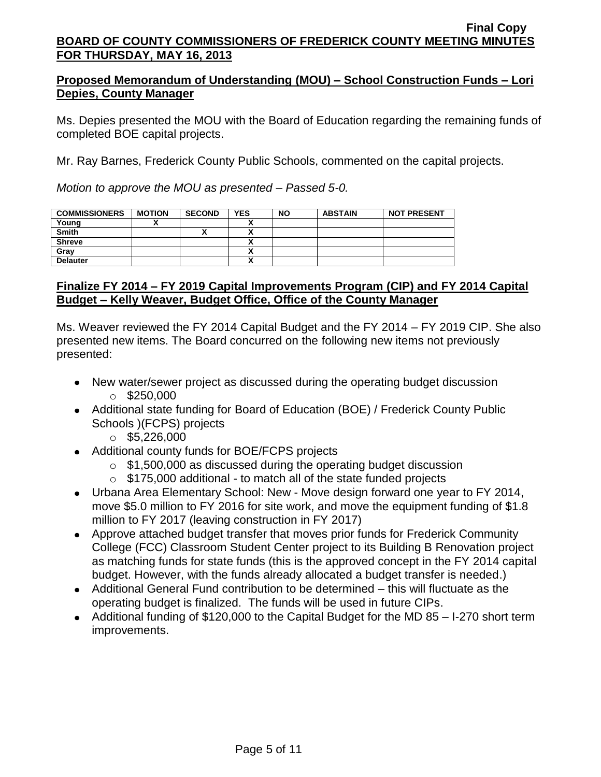# **Proposed Memorandum of Understanding (MOU) – School Construction Funds – Lori Depies, County Manager**

Ms. Depies presented the MOU with the Board of Education regarding the remaining funds of completed BOE capital projects.

Mr. Ray Barnes, Frederick County Public Schools, commented on the capital projects.

*Motion to approve the MOU as presented – Passed 5-0.*

| <b>COMMISSIONERS</b> | <b>MOTION</b> | <b>SECOND</b> | <b>YES</b> | <b>NO</b> | <b>ABSTAIN</b> | <b>NOT PRESENT</b> |
|----------------------|---------------|---------------|------------|-----------|----------------|--------------------|
| Young                |               |               |            |           |                |                    |
| <b>Smith</b>         |               | ^             |            |           |                |                    |
| <b>Shreve</b>        |               |               |            |           |                |                    |
| Gray                 |               |               |            |           |                |                    |
| <b>Delauter</b>      |               |               |            |           |                |                    |

# **Finalize FY 2014 – FY 2019 Capital Improvements Program (CIP) and FY 2014 Capital Budget – Kelly Weaver, Budget Office, Office of the County Manager**

Ms. Weaver reviewed the FY 2014 Capital Budget and the FY 2014 – FY 2019 CIP. She also presented new items. The Board concurred on the following new items not previously presented:

- New water/sewer project as discussed during the operating budget discussion  $\circ$  \$250,000
- Additional state funding for Board of Education (BOE) / Frederick County Public Schools )(FCPS) projects
	- $\circ$  \$5,226,000
- Additional county funds for BOE/FCPS projects
	- $\circ$  \$1,500,000 as discussed during the operating budget discussion
	- $\circ$  \$175,000 additional to match all of the state funded projects
- Urbana Area Elementary School: New Move design forward one year to FY 2014, move \$5.0 million to FY 2016 for site work, and move the equipment funding of \$1.8 million to FY 2017 (leaving construction in FY 2017)
- Approve attached budget transfer that moves prior funds for Frederick Community College (FCC) Classroom Student Center project to its Building B Renovation project as matching funds for state funds (this is the approved concept in the FY 2014 capital budget. However, with the funds already allocated a budget transfer is needed.)
- Additional General Fund contribution to be determined this will fluctuate as the operating budget is finalized. The funds will be used in future CIPs.
- Additional funding of \$120,000 to the Capital Budget for the MD 85 I-270 short term improvements.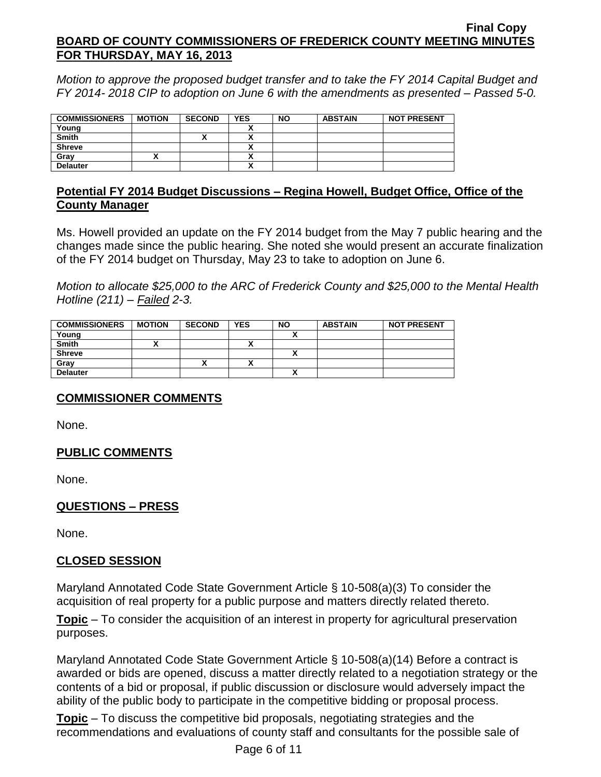*Motion to approve the proposed budget transfer and to take the FY 2014 Capital Budget and FY 2014- 2018 CIP to adoption on June 6 with the amendments as presented – Passed 5-0.*

| <b>COMMISSIONERS</b> | <b>MOTION</b> | <b>SECOND</b> | <b>YES</b> | <b>NO</b> | <b>ABSTAIN</b> | <b>NOT PRESENT</b> |
|----------------------|---------------|---------------|------------|-----------|----------------|--------------------|
| Young                |               |               |            |           |                |                    |
| Smith                |               | v<br>Λ        | v          |           |                |                    |
| <b>Shreve</b>        |               |               | .,         |           |                |                    |
| Gray                 |               |               |            |           |                |                    |
| <b>Delauter</b>      |               |               |            |           |                |                    |

# **Potential FY 2014 Budget Discussions – Regina Howell, Budget Office, Office of the County Manager**

Ms. Howell provided an update on the FY 2014 budget from the May 7 public hearing and the changes made since the public hearing. She noted she would present an accurate finalization of the FY 2014 budget on Thursday, May 23 to take to adoption on June 6.

*Motion to allocate \$25,000 to the ARC of Frederick County and \$25,000 to the Mental Health Hotline (211) – Failed 2-3.*

| <b>COMMISSIONERS</b> | <b>MOTION</b> | <b>SECOND</b> | <b>YES</b> | <b>NO</b>    | <b>ABSTAIN</b> | <b>NOT PRESENT</b> |
|----------------------|---------------|---------------|------------|--------------|----------------|--------------------|
| Young                |               |               |            |              |                |                    |
| <b>Smith</b>         |               |               |            |              |                |                    |
| <b>Shreve</b>        |               |               |            | $\mathbf{v}$ |                |                    |
| Gray                 |               |               |            |              |                |                    |
| <b>Delauter</b>      |               |               |            |              |                |                    |

# **COMMISSIONER COMMENTS**

None.

# **PUBLIC COMMENTS**

None.

# **QUESTIONS – PRESS**

None.

# **CLOSED SESSION**

Maryland Annotated Code State Government Article § 10-508(a)(3) To consider the acquisition of real property for a public purpose and matters directly related thereto.

**Topic** – To consider the acquisition of an interest in property for agricultural preservation purposes.

Maryland Annotated Code State Government Article § 10-508(a)(14) Before a contract is awarded or bids are opened, discuss a matter directly related to a negotiation strategy or the contents of a bid or proposal, if public discussion or disclosure would adversely impact the ability of the public body to participate in the competitive bidding or proposal process.

**Topic** – To discuss the competitive bid proposals, negotiating strategies and the recommendations and evaluations of county staff and consultants for the possible sale of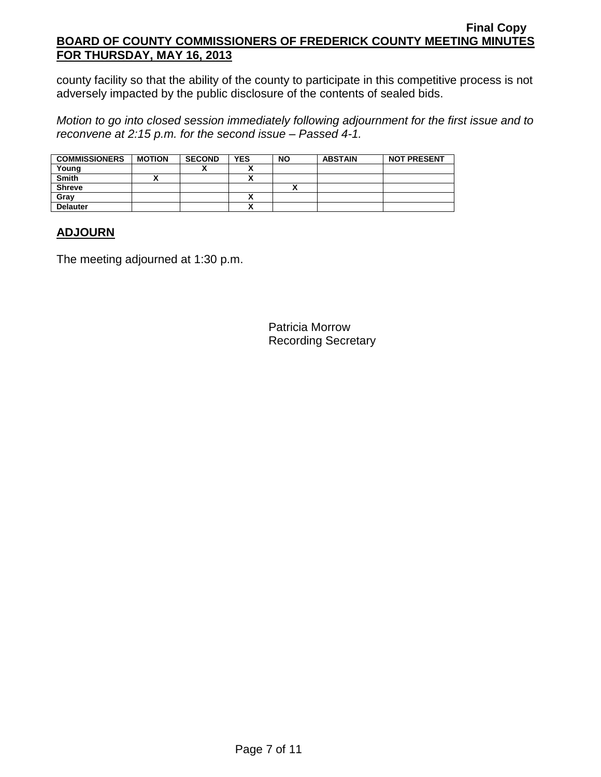county facility so that the ability of the county to participate in this competitive process is not adversely impacted by the public disclosure of the contents of sealed bids.

*Motion to go into closed session immediately following adjournment for the first issue and to reconvene at 2:15 p.m. for the second issue – Passed 4-1.*

| <b>COMMISSIONERS</b> | <b>MOTION</b> | <b>SECOND</b> | <b>YES</b> | <b>NO</b> | <b>ABSTAIN</b> | <b>NOT PRESENT</b> |
|----------------------|---------------|---------------|------------|-----------|----------------|--------------------|
| Young                |               |               |            |           |                |                    |
| Smith                |               |               |            |           |                |                    |
| <b>Shreve</b>        |               |               |            |           |                |                    |
| Grav                 |               |               |            |           |                |                    |
| <b>Delauter</b>      |               |               |            |           |                |                    |

# **ADJOURN**

The meeting adjourned at 1:30 p.m.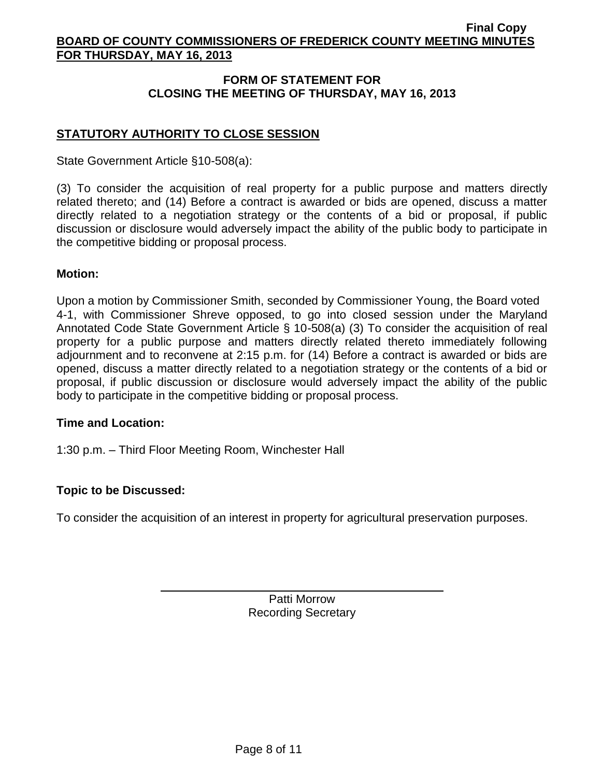# **FORM OF STATEMENT FOR CLOSING THE MEETING OF THURSDAY, MAY 16, 2013**

# **STATUTORY AUTHORITY TO CLOSE SESSION**

State Government Article §10-508(a):

(3) To consider the acquisition of real property for a public purpose and matters directly related thereto; and (14) Before a contract is awarded or bids are opened, discuss a matter directly related to a negotiation strategy or the contents of a bid or proposal, if public discussion or disclosure would adversely impact the ability of the public body to participate in the competitive bidding or proposal process.

# **Motion:**

Upon a motion by Commissioner Smith, seconded by Commissioner Young, the Board voted 4-1, with Commissioner Shreve opposed, to go into closed session under the Maryland Annotated Code State Government Article § 10-508(a) (3) To consider the acquisition of real property for a public purpose and matters directly related thereto immediately following adjournment and to reconvene at 2:15 p.m. for (14) Before a contract is awarded or bids are opened, discuss a matter directly related to a negotiation strategy or the contents of a bid or proposal, if public discussion or disclosure would adversely impact the ability of the public body to participate in the competitive bidding or proposal process.

# **Time and Location:**

1:30 p.m. – Third Floor Meeting Room, Winchester Hall

# **Topic to be Discussed:**

To consider the acquisition of an interest in property for agricultural preservation purposes.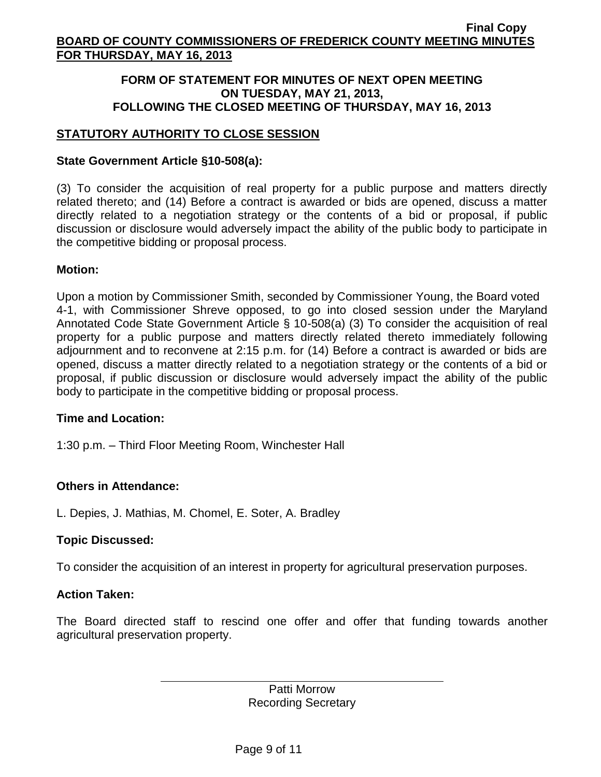# **FORM OF STATEMENT FOR MINUTES OF NEXT OPEN MEETING ON TUESDAY, MAY 21, 2013, FOLLOWING THE CLOSED MEETING OF THURSDAY, MAY 16, 2013**

# **STATUTORY AUTHORITY TO CLOSE SESSION**

# **State Government Article §10-508(a):**

(3) To consider the acquisition of real property for a public purpose and matters directly related thereto; and (14) Before a contract is awarded or bids are opened, discuss a matter directly related to a negotiation strategy or the contents of a bid or proposal, if public discussion or disclosure would adversely impact the ability of the public body to participate in the competitive bidding or proposal process.

# **Motion:**

Upon a motion by Commissioner Smith, seconded by Commissioner Young, the Board voted 4-1, with Commissioner Shreve opposed, to go into closed session under the Maryland Annotated Code State Government Article § 10-508(a) (3) To consider the acquisition of real property for a public purpose and matters directly related thereto immediately following adjournment and to reconvene at 2:15 p.m. for (14) Before a contract is awarded or bids are opened, discuss a matter directly related to a negotiation strategy or the contents of a bid or proposal, if public discussion or disclosure would adversely impact the ability of the public body to participate in the competitive bidding or proposal process.

# **Time and Location:**

1:30 p.m. – Third Floor Meeting Room, Winchester Hall

# **Others in Attendance:**

L. Depies, J. Mathias, M. Chomel, E. Soter, A. Bradley

# **Topic Discussed:**

To consider the acquisition of an interest in property for agricultural preservation purposes.

# **Action Taken:**

The Board directed staff to rescind one offer and offer that funding towards another agricultural preservation property.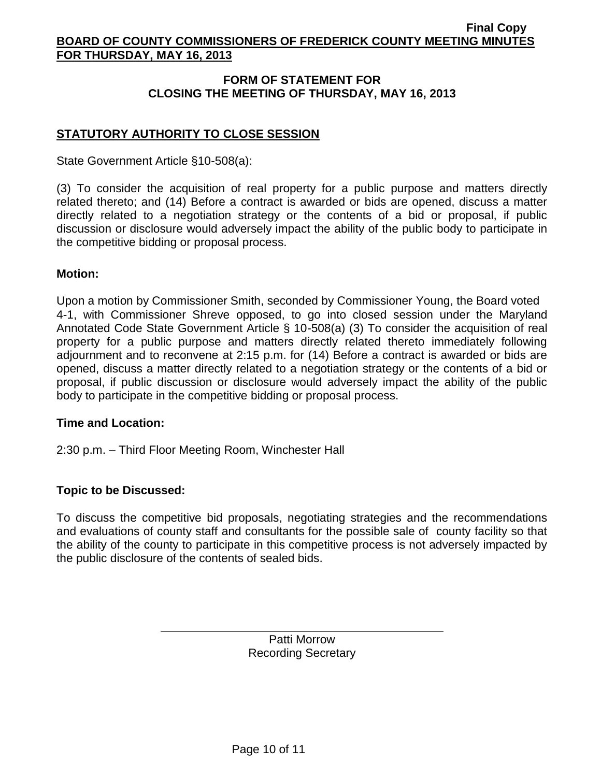# **FORM OF STATEMENT FOR CLOSING THE MEETING OF THURSDAY, MAY 16, 2013**

# **STATUTORY AUTHORITY TO CLOSE SESSION**

State Government Article §10-508(a):

(3) To consider the acquisition of real property for a public purpose and matters directly related thereto; and (14) Before a contract is awarded or bids are opened, discuss a matter directly related to a negotiation strategy or the contents of a bid or proposal, if public discussion or disclosure would adversely impact the ability of the public body to participate in the competitive bidding or proposal process.

# **Motion:**

Upon a motion by Commissioner Smith, seconded by Commissioner Young, the Board voted 4-1, with Commissioner Shreve opposed, to go into closed session under the Maryland Annotated Code State Government Article § 10-508(a) (3) To consider the acquisition of real property for a public purpose and matters directly related thereto immediately following adjournment and to reconvene at 2:15 p.m. for (14) Before a contract is awarded or bids are opened, discuss a matter directly related to a negotiation strategy or the contents of a bid or proposal, if public discussion or disclosure would adversely impact the ability of the public body to participate in the competitive bidding or proposal process.

# **Time and Location:**

2:30 p.m. – Third Floor Meeting Room, Winchester Hall

# **Topic to be Discussed:**

To discuss the competitive bid proposals, negotiating strategies and the recommendations and evaluations of county staff and consultants for the possible sale of county facility so that the ability of the county to participate in this competitive process is not adversely impacted by the public disclosure of the contents of sealed bids.